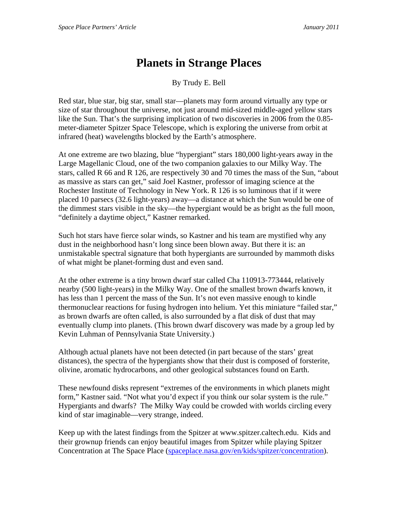## **Planets in Strange Places**

By Trudy E. Bell

Red star, blue star, big star, small star—planets may form around virtually any type or size of star throughout the universe, not just around mid-sized middle-aged yellow stars like the Sun. That's the surprising implication of two discoveries in 2006 from the 0.85 meter-diameter Spitzer Space Telescope, which is exploring the universe from orbit at infrared (heat) wavelengths blocked by the Earth's atmosphere.

At one extreme are two blazing, blue "hypergiant" stars 180,000 light-years away in the Large Magellanic Cloud, one of the two companion galaxies to our Milky Way. The stars, called R 66 and R 126, are respectively 30 and 70 times the mass of the Sun, "about as massive as stars can get," said Joel Kastner, professor of imaging science at the Rochester Institute of Technology in New York. R 126 is so luminous that if it were placed 10 parsecs (32.6 light-years) away—a distance at which the Sun would be one of the dimmest stars visible in the sky—the hypergiant would be as bright as the full moon, "definitely a daytime object," Kastner remarked.

Such hot stars have fierce solar winds, so Kastner and his team are mystified why any dust in the neighborhood hasn't long since been blown away. But there it is: an unmistakable spectral signature that both hypergiants are surrounded by mammoth disks of what might be planet-forming dust and even sand.

At the other extreme is a tiny brown dwarf star called Cha 110913-773444, relatively nearby (500 light-years) in the Milky Way. One of the smallest brown dwarfs known, it has less than 1 percent the mass of the Sun. It's not even massive enough to kindle thermonuclear reactions for fusing hydrogen into helium. Yet this miniature "failed star," as brown dwarfs are often called, is also surrounded by a flat disk of dust that may eventually clump into planets. (This brown dwarf discovery was made by a group led by Kevin Luhman of Pennsylvania State University.)

Although actual planets have not been detected (in part because of the stars' great distances), the spectra of the hypergiants show that their dust is composed of forsterite, olivine, aromatic hydrocarbons, and other geological substances found on Earth.

These newfound disks represent "extremes of the environments in which planets might form," Kastner said. "Not what you'd expect if you think our solar system is the rule." Hypergiants and dwarfs? The Milky Way could be crowded with worlds circling every kind of star imaginable—very strange, indeed.

Keep up with the latest findings from the Spitzer at www.spitzer.caltech.edu. Kids and their grownup friends can enjoy beautiful images from Spitzer while playing Spitzer Concentration at The Space Place (spaceplace.nasa.gov/en/kids/spitzer/concentration).